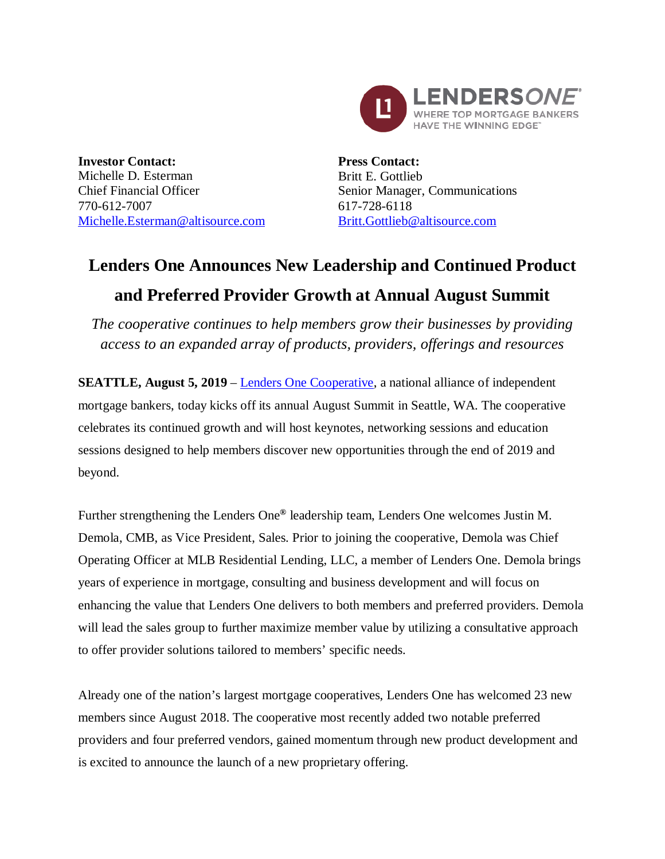

**Investor Contact:** Michelle D. Esterman Chief Financial Officer 770-612-7007 Michelle.Esterman@altisource.com **Press Contact:** Britt E. Gottlieb Senior Manager, Communications 617-728-6118 Britt.Gottlieb@altisource.com

## **Lenders One Announces New Leadership and Continued Product and Preferred Provider Growth at Annual August Summit**

*The cooperative continues to help members grow their businesses by providing access to an expanded array of products, providers, offerings and resources*

**SEATTLE, August 5, 2019** – Lenders One Cooperative, a national alliance of independent mortgage bankers, today kicks off its annual August Summit in Seattle, WA. The cooperative celebrates its continued growth and will host keynotes, networking sessions and education sessions designed to help members discover new opportunities through the end of 2019 and beyond.

Further strengthening the Lenders One**®** leadership team, Lenders One welcomes Justin M. Demola, CMB, as Vice President, Sales. Prior to joining the cooperative, Demola was Chief Operating Officer at MLB Residential Lending, LLC, a member of Lenders One. Demola brings years of experience in mortgage, consulting and business development and will focus on enhancing the value that Lenders One delivers to both members and preferred providers. Demola will lead the sales group to further maximize member value by utilizing a consultative approach to offer provider solutions tailored to members' specific needs.

Already one of the nation's largest mortgage cooperatives, Lenders One has welcomed 23 new members since August 2018. The cooperative most recently added two notable preferred providers and four preferred vendors, gained momentum through new product development and is excited to announce the launch of a new proprietary offering.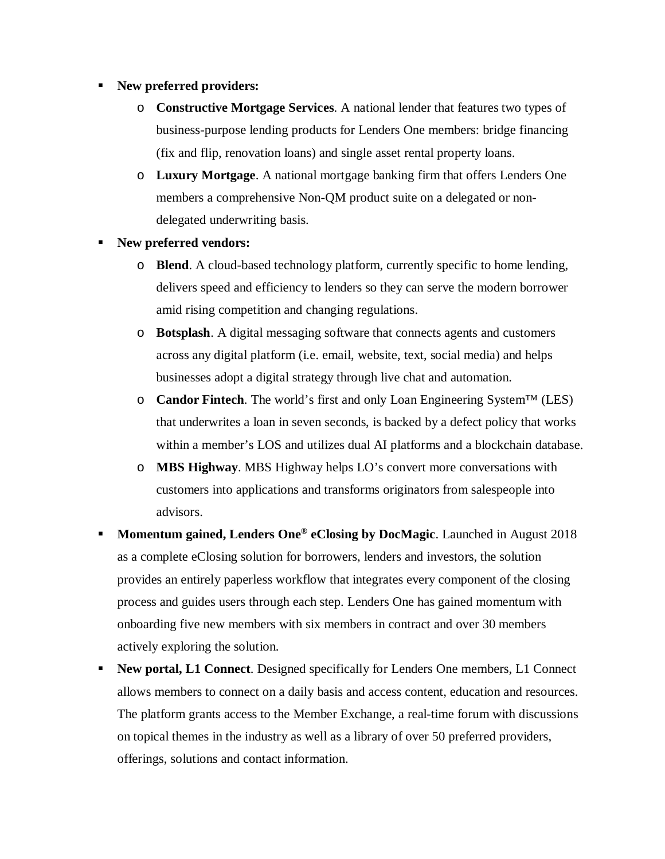## § **New preferred providers:**

- o **Constructive Mortgage Services**. A national lender that features two types of business-purpose lending products for Lenders One members: bridge financing (fix and flip, renovation loans) and single asset rental property loans.
- o **Luxury Mortgage**. A national mortgage banking firm that offers Lenders One members a comprehensive Non-QM product suite on a delegated or nondelegated underwriting basis.
- § **New preferred vendors:**
	- o **Blend**. A cloud-based technology platform, currently specific to home lending, delivers speed and efficiency to lenders so they can serve the modern borrower amid rising competition and changing regulations.
	- o **Botsplash**. A digital messaging software that connects agents and customers across any digital platform (i.e. email, website, text, social media) and helps businesses adopt a digital strategy through live chat and automation.
	- o **Candor Fintech**. The world's first and only Loan Engineering System™ (LES) that underwrites a loan in seven seconds, is backed by a defect policy that works within a member's LOS and utilizes dual AI platforms and a blockchain database.
	- o **MBS Highway**. MBS Highway helps LO's convert more conversations with customers into applications and transforms originators from salespeople into advisors.
- § **Momentum gained, Lenders One® eClosing by DocMagic**. Launched in August 2018 as a complete eClosing solution for borrowers, lenders and investors, the solution provides an entirely paperless workflow that integrates every component of the closing process and guides users through each step. Lenders One has gained momentum with onboarding five new members with six members in contract and over 30 members actively exploring the solution.
- § **New portal, L1 Connect**. Designed specifically for Lenders One members, L1 Connect allows members to connect on a daily basis and access content, education and resources. The platform grants access to the Member Exchange, a real-time forum with discussions on topical themes in the industry as well as a library of over 50 preferred providers, offerings, solutions and contact information.